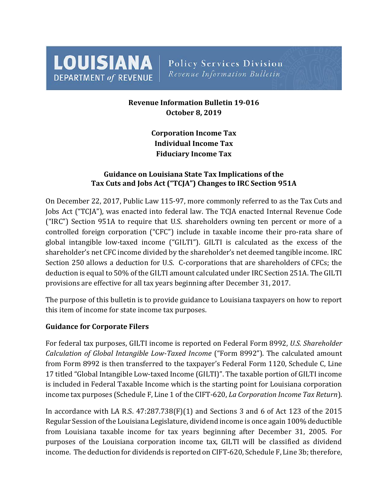**LOUISIANA DEPARTMENT of REVENUE** 

**Policy Services Division** Revenue Information Bulletin

# **Revenue Information Bulletin 19-016 October 8, 2019**

**Corporation Income Tax Individual Income Tax Fiduciary Income Tax**

## **Guidance on Louisiana State Tax Implications of the Tax Cuts and Jobs Act ("TCJA") Changes to IRC Section 951A**

On December 22, 2017, Public Law 115-97, more commonly referred to as the Tax Cuts and Jobs Act ("TCJA"), was enacted into federal law. The TCJA enacted Internal Revenue Code ("IRC") Section 951A to require that U.S. shareholders owning ten percent or more of a controlled foreign corporation ("CFC") include in taxable income their pro-rata share of global intangible low-taxed income ("GILTI"). GILTI is calculated as the excess of the shareholder's net CFC income divided by the shareholder's net deemed tangible income. IRC Section 250 allows a deduction for U.S. C-corporations that are shareholders of CFCs; the deduction is equal to 50% of the GILTI amount calculated under IRC Section 251A. The GILTI provisions are effective for all tax years beginning after December 31, 2017.

The purpose of this bulletin is to provide guidance to Louisiana taxpayers on how to report this item of income for state income tax purposes.

## **Guidance for Corporate Filers**

For federal tax purposes, GILTI income is reported on Federal Form 8992, *U.S. Shareholder Calculation of Global Intangible Low-Taxed Income* ("Form 8992"). The calculated amount from Form 8992 is then transferred to the taxpayer's Federal Form 1120, Schedule C, Line 17 titled "Global Intangible Low-taxed Income (GILTI)". The taxable portion of GILTI income is included in Federal Taxable Income which is the starting point for Louisiana corporation income tax purposes (Schedule F, Line 1 of the CIFT-620, *La Corporation Income Tax Return*).

In accordance with LA R.S.  $47:287.738(F)(1)$  and Sections 3 and 6 of Act 123 of the 2015 Regular Session of the Louisiana Legislature, dividend income is once again 100% deductible from Louisiana taxable income for tax years beginning after December 31, 2005. For purposes of the Louisiana corporation income tax, GILTI will be classified as dividend income. The deduction for dividends is reported on CIFT-620, Schedule F, Line 3b; therefore,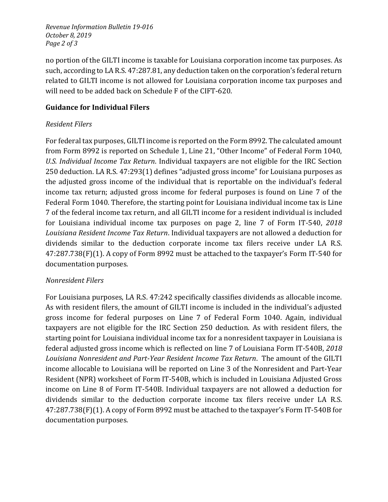*Revenue Information Bulletin 19-016 October 8, 2019 Page 2 of 3*

no portion of the GILTI income is taxable for Louisiana corporation income tax purposes. As such, according to LA R.S. 47:287.81, any deduction taken on the corporation's federal return related to GILTI income is not allowed for Louisiana corporation income tax purposes and will need to be added back on Schedule F of the CIFT-620.

## **Guidance for Individual Filers**

### *Resident Filers*

For federal tax purposes, GILTI income is reported on the Form 8992. The calculated amount from Form 8992 is reported on Schedule 1, Line 21, "Other Income" of Federal Form 1040, *U.S. Individual Income Tax Return*. Individual taxpayers are not eligible for the IRC Section 250 deduction. LA R.S. 47:293(1) defines "adjusted gross income" for Louisiana purposes as the adjusted gross income of the individual that is reportable on the individual's federal income tax return; adjusted gross income for federal purposes is found on Line 7 of the Federal Form 1040. Therefore, the starting point for Louisiana individual income tax is Line 7 of the federal income tax return, and all GILTI income for a resident individual is included for Louisiana individual income tax purposes on page 2, line 7 of Form IT-540, *2018 Louisiana Resident Income Tax Return*. Individual taxpayers are not allowed a deduction for dividends similar to the deduction corporate income tax filers receive under LA R.S. 47:287.738(F)(1). A copy of Form 8992 must be attached to the taxpayer's Form IT-540 for documentation purposes.

## *Nonresident Filers*

For Louisiana purposes, LA R.S. 47:242 specifically classifies dividends as allocable income. As with resident filers, the amount of GILTI income is included in the individual's adjusted gross income for federal purposes on Line 7 of Federal Form 1040. Again, individual taxpayers are not eligible for the IRC Section 250 deduction. As with resident filers, the starting point for Louisiana individual income tax for a nonresident taxpayer in Louisiana is federal adjusted gross income which is reflected on line 7 of Louisiana Form IT-540B, *2018 Louisiana Nonresident and Part-Year Resident Income Tax Return*. The amount of the GILTI income allocable to Louisiana will be reported on Line 3 of the Nonresident and Part-Year Resident (NPR) worksheet of Form IT-540B, which is included in Louisiana Adjusted Gross income on Line 8 of Form IT-540B. Individual taxpayers are not allowed a deduction for dividends similar to the deduction corporate income tax filers receive under LA R.S. 47:287.738(F)(1). A copy of Form 8992 must be attached to the taxpayer's Form IT-540B for documentation purposes.